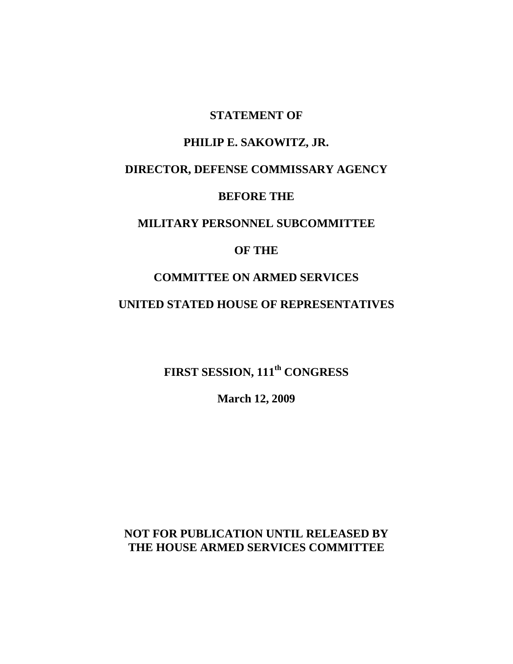#### **STATEMENT OF**

### **PHILIP E. SAKOWITZ, JR.**

# **DIRECTOR, DEFENSE COMMISSARY AGENCY**

#### **BEFORE THE**

## **MILITARY PERSONNEL SUBCOMMITTEE**

### **OF THE**

## **COMMITTEE ON ARMED SERVICES**

#### **UNITED STATED HOUSE OF REPRESENTATIVES**

**FIRST SESSION, 111th CONGRESS**

**March 12, 2009**

**NOT FOR PUBLICATION UNTIL RELEASED BY THE HOUSE ARMED SERVICES COMMITTEE**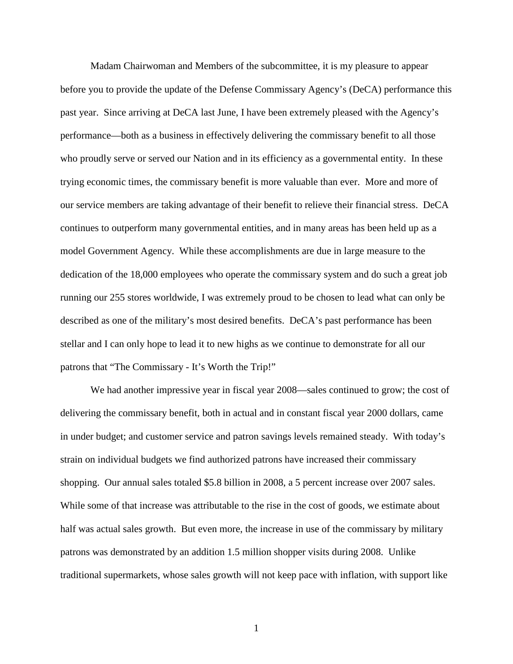Madam Chairwoman and Members of the subcommittee, it is my pleasure to appear before you to provide the update of the Defense Commissary Agency's (DeCA) performance this past year. Since arriving at DeCA last June, I have been extremely pleased with the Agency's performance—both as a business in effectively delivering the commissary benefit to all those who proudly serve or served our Nation and in its efficiency as a governmental entity. In these trying economic times, the commissary benefit is more valuable than ever. More and more of our service members are taking advantage of their benefit to relieve their financial stress. DeCA continues to outperform many governmental entities, and in many areas has been held up as a model Government Agency. While these accomplishments are due in large measure to the dedication of the 18,000 employees who operate the commissary system and do such a great job running our 255 stores worldwide, I was extremely proud to be chosen to lead what can only be described as one of the military's most desired benefits. DeCA's past performance has been stellar and I can only hope to lead it to new highs as we continue to demonstrate for all our patrons that "The Commissary - It's Worth the Trip!"

We had another impressive year in fiscal year 2008—sales continued to grow; the cost of delivering the commissary benefit, both in actual and in constant fiscal year 2000 dollars, came in under budget; and customer service and patron savings levels remained steady. With today's strain on individual budgets we find authorized patrons have increased their commissary shopping. Our annual sales totaled \$5.8 billion in 2008, a 5 percent increase over 2007 sales. While some of that increase was attributable to the rise in the cost of goods, we estimate about half was actual sales growth. But even more, the increase in use of the commissary by military patrons was demonstrated by an addition 1.5 million shopper visits during 2008. Unlike traditional supermarkets, whose sales growth will not keep pace with inflation, with support like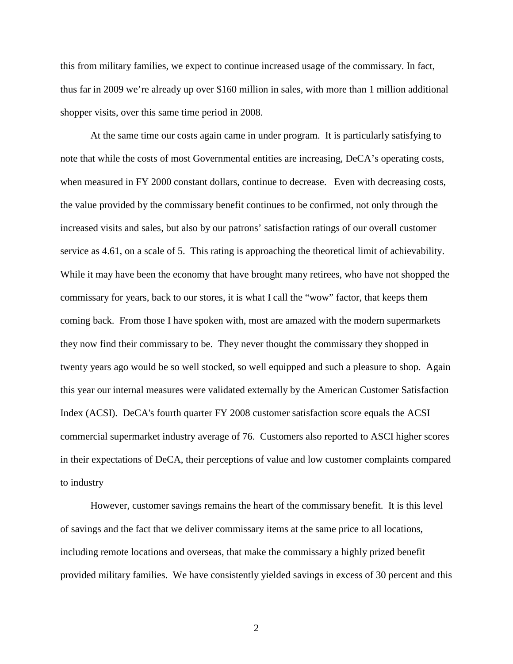this from military families, we expect to continue increased usage of the commissary. In fact, thus far in 2009 we're already up over \$160 million in sales, with more than 1 million additional shopper visits, over this same time period in 2008.

At the same time our costs again came in under program. It is particularly satisfying to note that while the costs of most Governmental entities are increasing, DeCA's operating costs, when measured in FY 2000 constant dollars, continue to decrease. Even with decreasing costs, the value provided by the commissary benefit continues to be confirmed, not only through the increased visits and sales, but also by our patrons' satisfaction ratings of our overall customer service as 4.61, on a scale of 5. This rating is approaching the theoretical limit of achievability. While it may have been the economy that have brought many retirees, who have not shopped the commissary for years, back to our stores, it is what I call the "wow" factor, that keeps them coming back. From those I have spoken with, most are amazed with the modern supermarkets they now find their commissary to be. They never thought the commissary they shopped in twenty years ago would be so well stocked, so well equipped and such a pleasure to shop. Again this year our internal measures were validated externally by the American Customer Satisfaction Index (ACSI). DeCA's fourth quarter FY 2008 customer satisfaction score equals the ACSI commercial supermarket industry average of 76. Customers also reported to ASCI higher scores in their expectations of DeCA, their perceptions of value and low customer complaints compared to industry

However, customer savings remains the heart of the commissary benefit. It is this level of savings and the fact that we deliver commissary items at the same price to all locations, including remote locations and overseas, that make the commissary a highly prized benefit provided military families. We have consistently yielded savings in excess of 30 percent and this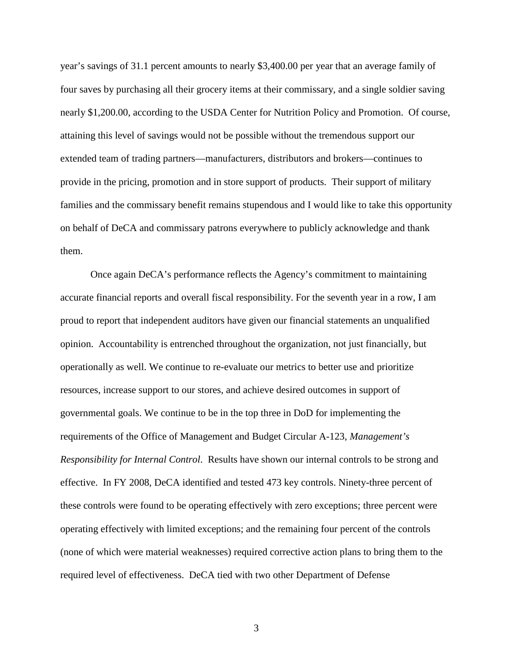year's savings of 31.1 percent amounts to nearly \$3,400.00 per year that an average family of four saves by purchasing all their grocery items at their commissary, and a single soldier saving nearly \$1,200.00, according to the USDA Center for Nutrition Policy and Promotion. Of course, attaining this level of savings would not be possible without the tremendous support our extended team of trading partners—manufacturers, distributors and brokers—continues to provide in the pricing, promotion and in store support of products. Their support of military families and the commissary benefit remains stupendous and I would like to take this opportunity on behalf of DeCA and commissary patrons everywhere to publicly acknowledge and thank them.

Once again DeCA's performance reflects the Agency's commitment to maintaining accurate financial reports and overall fiscal responsibility. For the seventh year in a row, I am proud to report that independent auditors have given our financial statements an unqualified opinion. Accountability is entrenched throughout the organization, not just financially, but operationally as well. We continue to re-evaluate our metrics to better use and prioritize resources, increase support to our stores, and achieve desired outcomes in support of governmental goals. We continue to be in the top three in DoD for implementing the requirements of the Office of Management and Budget Circular A-123, *Management's Responsibility for Internal Control*. Results have shown our internal controls to be strong and effective. In FY 2008, DeCA identified and tested 473 key controls. Ninety-three percent of these controls were found to be operating effectively with zero exceptions; three percent were operating effectively with limited exceptions; and the remaining four percent of the controls (none of which were material weaknesses) required corrective action plans to bring them to the required level of effectiveness. DeCA tied with two other Department of Defense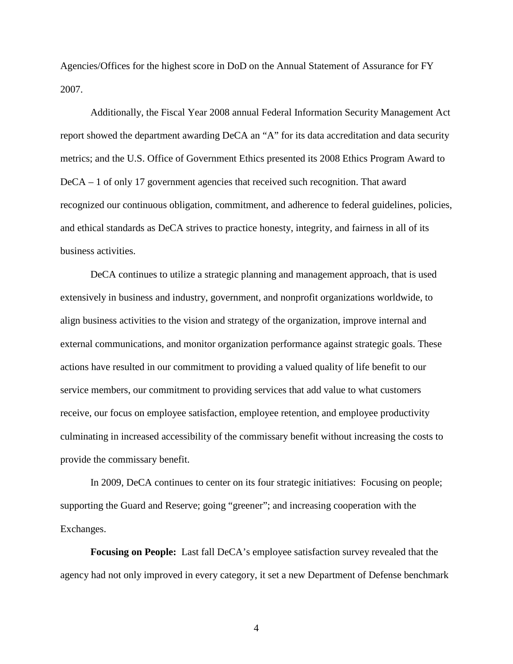Agencies/Offices for the highest score in DoD on the Annual Statement of Assurance for FY 2007.

Additionally, the Fiscal Year 2008 annual Federal Information Security Management Act report showed the department awarding DeCA an "A" for its data accreditation and data security metrics; and the U.S. Office of Government Ethics presented its 2008 Ethics Program Award to DeCA – 1 of only 17 government agencies that received such recognition. That award recognized our continuous obligation, commitment, and adherence to federal guidelines, policies, and ethical standards as DeCA strives to practice honesty, integrity, and fairness in all of its business activities.

DeCA continues to utilize a strategic planning and management approach, that is used extensively in business and industry, government, and nonprofit organizations worldwide, to align business activities to the vision and strategy of the organization, improve internal and external communications, and monitor organization performance against strategic goals. These actions have resulted in our commitment to providing a valued quality of life benefit to our service members, our commitment to providing services that add value to what customers receive, our focus on employee satisfaction, employee retention, and employee productivity culminating in increased accessibility of the commissary benefit without increasing the costs to provide the commissary benefit.

In 2009, DeCA continues to center on its four strategic initiatives: Focusing on people; supporting the Guard and Reserve; going "greener"; and increasing cooperation with the Exchanges.

**Focusing on People:** Last fall DeCA's employee satisfaction survey revealed that the agency had not only improved in every category, it set a new Department of Defense benchmark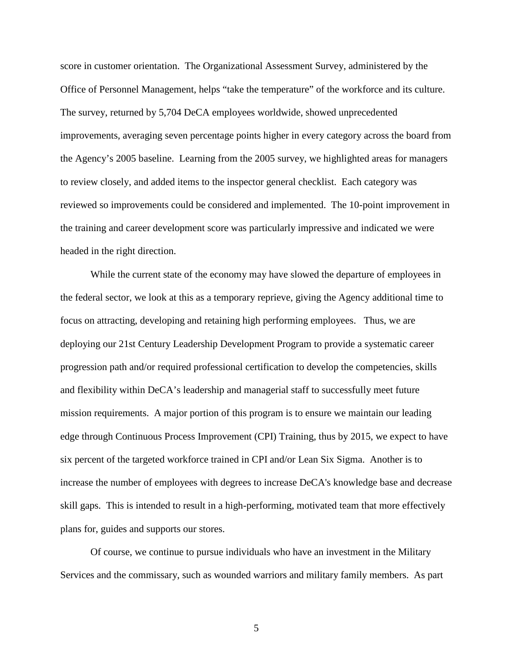score in customer orientation. The Organizational Assessment Survey, administered by the Office of Personnel Management, helps "take the temperature" of the workforce and its culture. The survey, returned by 5,704 DeCA employees worldwide, showed unprecedented improvements, averaging seven percentage points higher in every category across the board from the Agency's 2005 baseline. Learning from the 2005 survey, we highlighted areas for managers to review closely, and added items to the inspector general checklist. Each category was reviewed so improvements could be considered and implemented. The 10-point improvement in the training and career development score was particularly impressive and indicated we were headed in the right direction.

While the current state of the economy may have slowed the departure of employees in the federal sector, we look at this as a temporary reprieve, giving the Agency additional time to focus on attracting, developing and retaining high performing employees. Thus, we are deploying our 21st Century Leadership Development Program to provide a systematic career progression path and/or required professional certification to develop the competencies, skills and flexibility within DeCA's leadership and managerial staff to successfully meet future mission requirements. A major portion of this program is to ensure we maintain our leading edge through Continuous Process Improvement (CPI) Training, thus by 2015, we expect to have six percent of the targeted workforce trained in CPI and/or Lean Six Sigma. Another is to increase the number of employees with degrees to increase DeCA's knowledge base and decrease skill gaps. This is intended to result in a high-performing, motivated team that more effectively plans for, guides and supports our stores.

Of course, we continue to pursue individuals who have an investment in the Military Services and the commissary, such as wounded warriors and military family members. As part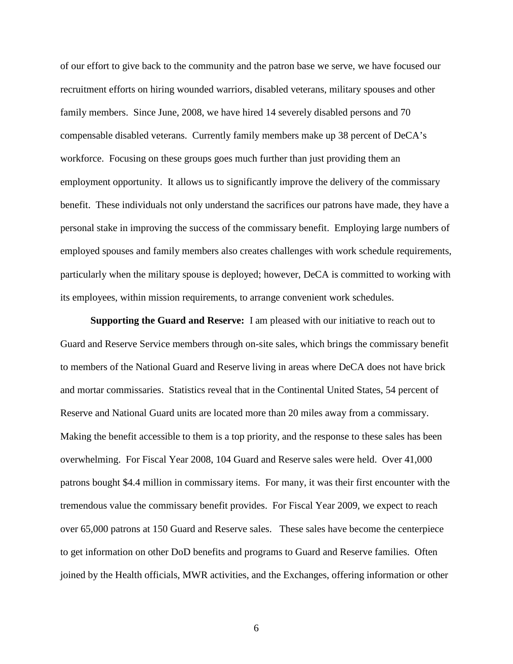of our effort to give back to the community and the patron base we serve, we have focused our recruitment efforts on hiring wounded warriors, disabled veterans, military spouses and other family members. Since June, 2008, we have hired 14 severely disabled persons and 70 compensable disabled veterans. Currently family members make up 38 percent of DeCA's workforce. Focusing on these groups goes much further than just providing them an employment opportunity. It allows us to significantly improve the delivery of the commissary benefit. These individuals not only understand the sacrifices our patrons have made, they have a personal stake in improving the success of the commissary benefit. Employing large numbers of employed spouses and family members also creates challenges with work schedule requirements, particularly when the military spouse is deployed; however, DeCA is committed to working with its employees, within mission requirements, to arrange convenient work schedules.

**Supporting the Guard and Reserve:** I am pleased with our initiative to reach out to Guard and Reserve Service members through on-site sales, which brings the commissary benefit to members of the National Guard and Reserve living in areas where DeCA does not have brick and mortar commissaries. Statistics reveal that in the Continental United States, 54 percent of Reserve and National Guard units are located more than 20 miles away from a commissary. Making the benefit accessible to them is a top priority, and the response to these sales has been overwhelming. For Fiscal Year 2008, 104 Guard and Reserve sales were held. Over 41,000 patrons bought \$4.4 million in commissary items. For many, it was their first encounter with the tremendous value the commissary benefit provides. For Fiscal Year 2009, we expect to reach over 65,000 patrons at 150 Guard and Reserve sales. These sales have become the centerpiece to get information on other DoD benefits and programs to Guard and Reserve families. Often joined by the Health officials, MWR activities, and the Exchanges, offering information or other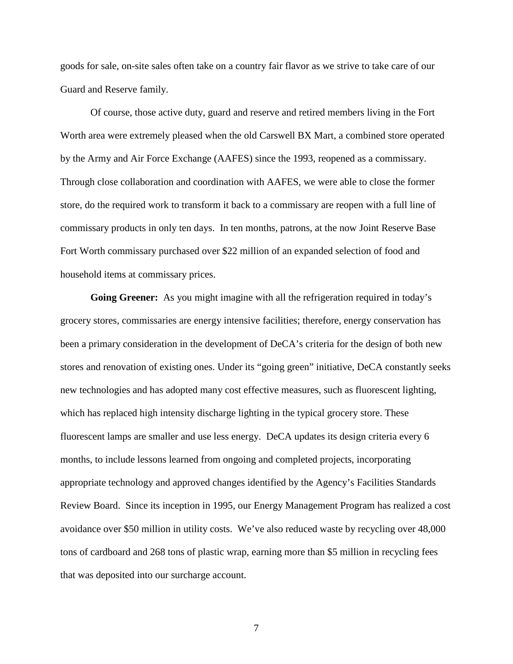goods for sale, on-site sales often take on a country fair flavor as we strive to take care of our Guard and Reserve family.

Of course, those active duty, guard and reserve and retired members living in the Fort Worth area were extremely pleased when the old Carswell BX Mart, a combined store operated by the Army and Air Force Exchange (AAFES) since the 1993, reopened as a commissary. Through close collaboration and coordination with AAFES, we were able to close the former store, do the required work to transform it back to a commissary are reopen with a full line of commissary products in only ten days. In ten months, patrons, at the now Joint Reserve Base Fort Worth commissary purchased over \$22 million of an expanded selection of food and household items at commissary prices.

**Going Greener:** As you might imagine with all the refrigeration required in today's grocery stores, commissaries are energy intensive facilities; therefore, energy conservation has been a primary consideration in the development of DeCA's criteria for the design of both new stores and renovation of existing ones. Under its "going green" initiative, DeCA constantly seeks new technologies and has adopted many cost effective measures, such as fluorescent lighting, which has replaced high intensity discharge lighting in the typical grocery store. These fluorescent lamps are smaller and use less energy. DeCA updates its design criteria every 6 months, to include lessons learned from ongoing and completed projects, incorporating appropriate technology and approved changes identified by the Agency's Facilities Standards Review Board. Since its inception in 1995, our Energy Management Program has realized a cost avoidance over \$50 million in utility costs. We've also reduced waste by recycling over 48,000 tons of cardboard and 268 tons of plastic wrap, earning more than \$5 million in recycling fees that was deposited into our surcharge account.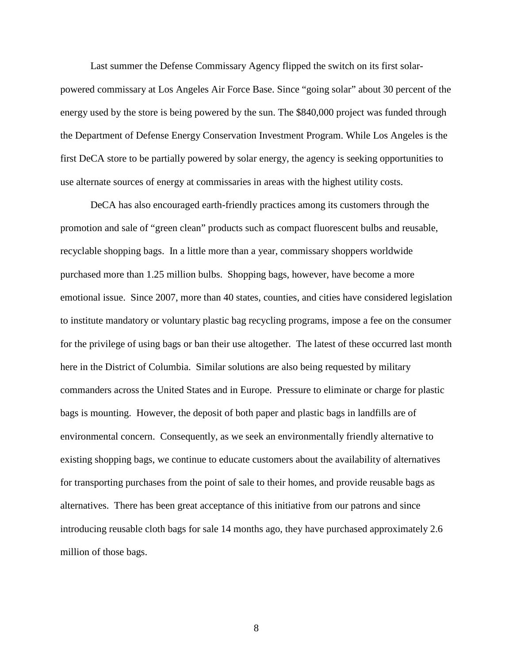Last summer the Defense Commissary Agency flipped the switch on its first solarpowered commissary at Los Angeles Air Force Base. Since "going solar" about 30 percent of the energy used by the store is being powered by the sun. The \$840,000 project was funded through the Department of Defense Energy Conservation Investment Program. While Los Angeles is the first DeCA store to be partially powered by solar energy, the agency is seeking opportunities to use alternate sources of energy at commissaries in areas with the highest utility costs.

DeCA has also encouraged earth-friendly practices among its customers through the promotion and sale of "green clean" products such as compact fluorescent bulbs and reusable, recyclable shopping bags. In a little more than a year, commissary shoppers worldwide purchased more than 1.25 million bulbs. Shopping bags, however, have become a more emotional issue. Since 2007, more than 40 states, counties, and cities have considered legislation to institute mandatory or voluntary plastic bag recycling programs, impose a fee on the consumer for the privilege of using bags or ban their use altogether. The latest of these occurred last month here in the District of Columbia. Similar solutions are also being requested by military commanders across the United States and in Europe. Pressure to eliminate or charge for plastic bags is mounting. However, the deposit of both paper and plastic bags in landfills are of environmental concern. Consequently, as we seek an environmentally friendly alternative to existing shopping bags, we continue to educate customers about the availability of alternatives for transporting purchases from the point of sale to their homes, and provide reusable bags as alternatives. There has been great acceptance of this initiative from our patrons and since introducing reusable cloth bags for sale 14 months ago, they have purchased approximately 2.6 million of those bags.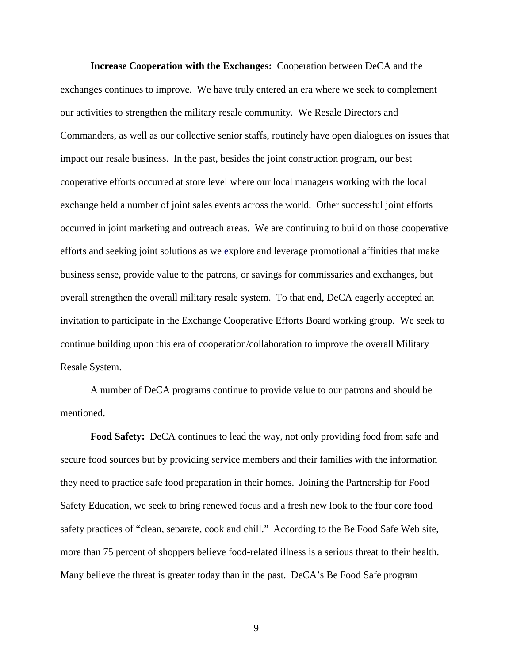**Increase Cooperation with the Exchanges:** Cooperation between DeCA and the exchanges continues to improve. We have truly entered an era where we seek to complement our activities to strengthen the military resale community. We Resale Directors and Commanders, as well as our collective senior staffs, routinely have open dialogues on issues that impact our resale business. In the past, besides the joint construction program, our best cooperative efforts occurred at store level where our local managers working with the local exchange held a number of joint sales events across the world. Other successful joint efforts occurred in joint marketing and outreach areas. We are continuing to build on those cooperative efforts and seeking joint solutions as we explore and leverage promotional affinities that make business sense, provide value to the patrons, or savings for commissaries and exchanges, but overall strengthen the overall military resale system. To that end, DeCA eagerly accepted an invitation to participate in the Exchange Cooperative Efforts Board working group. We seek to continue building upon this era of cooperation/collaboration to improve the overall Military Resale System.

A number of DeCA programs continue to provide value to our patrons and should be mentioned.

**Food Safety:** DeCA continues to lead the way, not only providing food from safe and secure food sources but by providing service members and their families with the information they need to practice safe food preparation in their homes. Joining the Partnership for Food Safety Education, we seek to bring renewed focus and a fresh new look to the four core food safety practices of "clean, separate, cook and chill." According to the Be Food Safe Web site, more than 75 percent of shoppers believe food-related illness is a serious threat to their health. Many believe the threat is greater today than in the past. DeCA's Be Food Safe program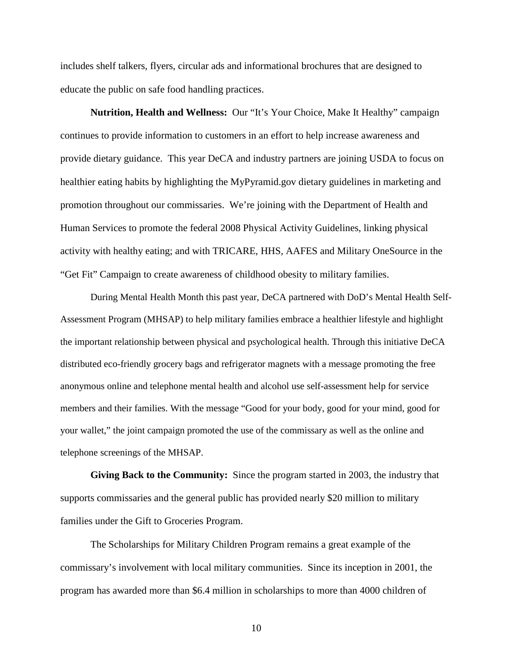includes shelf talkers, flyers, circular ads and informational brochures that are designed to educate the public on safe food handling practices.

**Nutrition, Health and Wellness:** Our "It's Your Choice, Make It Healthy" campaign continues to provide information to customers in an effort to help increase awareness and provide dietary guidance. This year DeCA and industry partners are joining USDA to focus on healthier eating habits by highlighting the MyPyramid.gov dietary guidelines in marketing and promotion throughout our commissaries. We're joining with the Department of Health and Human Services to promote the federal 2008 Physical Activity Guidelines, linking physical activity with healthy eating; and with TRICARE, HHS, AAFES and Military OneSource in the "Get Fit" Campaign to create awareness of childhood obesity to military families.

During Mental Health Month this past year, DeCA partnered with DoD's Mental Health Self-Assessment Program (MHSAP) to help military families embrace a healthier lifestyle and highlight the important relationship between physical and psychological health. Through this initiative DeCA distributed eco-friendly grocery bags and refrigerator magnets with a message promoting the free anonymous online and telephone mental health and alcohol use self-assessment help for service members and their families. With the message "Good for your body, good for your mind, good for your wallet," the joint campaign promoted the use of the commissary as well as the online and telephone screenings of the MHSAP.

**Giving Back to the Community:** Since the program started in 2003, the industry that supports commissaries and the general public has provided nearly \$20 million to military families under the Gift to Groceries Program.

The Scholarships for Military Children Program remains a great example of the commissary's involvement with local military communities. Since its inception in 2001, the program has awarded more than \$6.4 million in scholarships to more than 4000 children of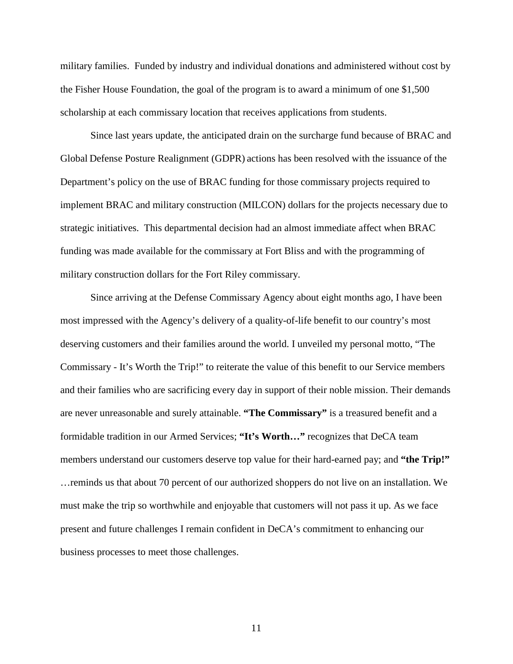military families. Funded by industry and individual donations and administered without cost by the Fisher House Foundation, the goal of the program is to award a minimum of one \$1,500 scholarship at each commissary location that receives applications from students.

Since last years update, the anticipated drain on the surcharge fund because of BRAC and Global Defense Posture Realignment (GDPR) actions has been resolved with the issuance of the Department's policy on the use of BRAC funding for those commissary projects required to implement BRAC and military construction (MILCON) dollars for the projects necessary due to strategic initiatives. This departmental decision had an almost immediate affect when BRAC funding was made available for the commissary at Fort Bliss and with the programming of military construction dollars for the Fort Riley commissary.

Since arriving at the Defense Commissary Agency about eight months ago, I have been most impressed with the Agency's delivery of a quality-of-life benefit to our country's most deserving customers and their families around the world. I unveiled my personal motto, "The Commissary - It's Worth the Trip!" to reiterate the value of this benefit to our Service members and their families who are sacrificing every day in support of their noble mission. Their demands are never unreasonable and surely attainable. **"The Commissary"** is a treasured benefit and a formidable tradition in our Armed Services; **"It's Worth…"** recognizes that DeCA team members understand our customers deserve top value for their hard-earned pay; and **"the Trip!"**  …reminds us that about 70 percent of our authorized shoppers do not live on an installation. We must make the trip so worthwhile and enjoyable that customers will not pass it up. As we face present and future challenges I remain confident in DeCA's commitment to enhancing our business processes to meet those challenges.